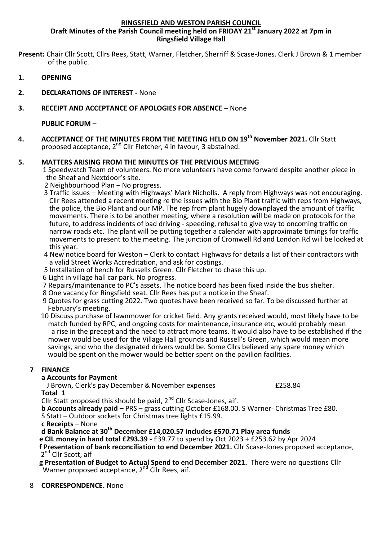#### **RINGSFIELD AND WESTON PARISH COUNCIL**

**Draft Minutes of the Parish Council meeting held on FRIDAY 21st January 2022 at 7pm in Ringsfield Village Hall**

**Present:** Chair Cllr Scott, Cllrs Rees, Statt, Warner, Fletcher, Sherriff & Scase-Jones. Clerk J Brown & 1 member of the public.

- **1. OPENING**
- **2. DECLARATIONS OF INTEREST -** None

#### **3. RECEIPT AND ACCEPTANCE OF APOLOGIES FOR ABSENCE** – None

**PUBLIC FORUM –**

**4. ACCEPTANCE OF THE MINUTES FROM THE MEETING HELD ON 19th November 2021.** Cllr Statt proposed acceptance, 2<sup>nd</sup> Cllr Fletcher, 4 in favour, 3 abstained.

### **5. MATTERS ARISING FROM THE MINUTES OF THE PREVIOUS MEETING**

1 Speedwatch Team of volunteers. No more volunteers have come forward despite another piece in the Sheaf and Nextdoor's site.

- 2 Neighbourhood Plan No progress.
- 3 Traffic issues Meeting with Highways' Mark Nicholls. A reply from Highways was not encouraging. Cllr Rees attended a recent meeting re the issues with the Bio Plant traffic with reps from Highways, the police, the Bio Plant and our MP. The rep from plant hugely downplayed the amount of traffic movements. There is to be another meeting, where a resolution will be made on protocols for the future, to address incidents of bad driving - speeding, refusal to give way to oncoming traffic on narrow roads etc. The plant will be putting together a calendar with approximate timings for traffic movements to present to the meeting. The junction of Cromwell Rd and London Rd will be looked at this year.
- 4 New notice board for Weston Clerk to contact Highways for details a list of their contractors with a valid Street Works Accreditation, and ask for costings.
- 5 Installation of bench for Russells Green. Cllr Fletcher to chase this up.
- 6 Light in village hall car park. No progress.
- 7 Repairs/maintenance to PC's assets. The notice board has been fixed inside the bus shelter.
- 8 One vacancy for Ringsfield seat. Cllr Rees has put a notice in the Sheaf.
- 9 Quotes for grass cutting 2022. Two quotes have been received so far. To be discussed further at February's meeting.
- 10 Discuss purchase of lawnmower for cricket field. Any grants received would, most likely have to be match funded by RPC, and ongoing costs for maintenance, insurance etc, would probably mean a rise in the precept and the need to attract more teams. It would also have to be established if the mower would be used for the Village Hall grounds and Russell's Green, which would mean more savings, and who the designated drivers would be. Some Cllrs believed any spare money which would be spent on the mower would be better spent on the pavilion facilities.

#### **7 FINANCE**

### **a Accounts for Payment**

J Brown, Clerk's pay December & November expenses **E258.84** 

**Total 1** 

Cllr Statt proposed this should be paid,  $2<sup>nd</sup>$  Cllr Scase-Jones, aif.

**b Accounts already paid –** PRS – grass cutting October £168.00. S Warner- Christmas Tree £80.

S Statt – Outdoor sockets for Christmas tree lights £15.99.

**c Receipts** – None

**d Bank Balance at 30th December £14,020.57 includes £570.71 Play area funds**

 **e CIL money in hand total £293.39 -** £39.77 to spend by Oct 2023 + £253.62 by Apr 2024  **f Presentation of bank reconciliation to end December 2021.** Cllr Scase-Jones proposed acceptance,

2<sup>nd</sup> Cllr Scott, aif

 **g Presentation of Budget to Actual Spend to end December 2021.** There were no questions Cllr Warner proposed acceptance,  $2^{nd}$  Cllr Rees, aif.

8 **CORRESPONDENCE.** None